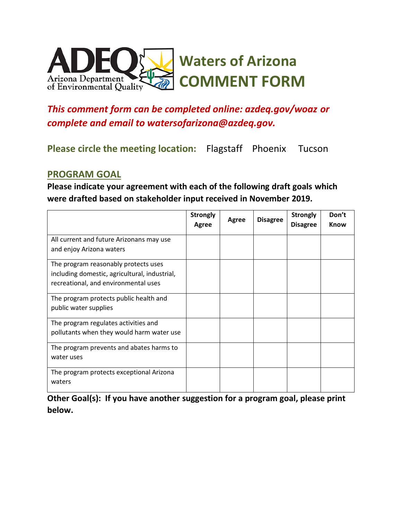

# *This comment form can be completed online: azdeq.gov/woaz or complete and email to watersofarizona@azdeq.gov.*

**Please circle the meeting location:** Flagstaff Phoenix Tucson

#### **PROGRAM GOAL**

**Please indicate your agreement with each of the following draft goals which were drafted based on stakeholder input received in November 2019.**

| <b>Strongly</b><br>Agree | Agree | <b>Disagree</b> | <b>Strongly</b><br><b>Disagree</b> | Don't<br><b>Know</b> |
|--------------------------|-------|-----------------|------------------------------------|----------------------|
|                          |       |                 |                                    |                      |
|                          |       |                 |                                    |                      |
|                          |       |                 |                                    |                      |
|                          |       |                 |                                    |                      |
|                          |       |                 |                                    |                      |
|                          |       |                 |                                    |                      |
|                          |       |                 |                                    |                      |
|                          |       |                 |                                    |                      |
|                          |       |                 |                                    |                      |
|                          |       |                 |                                    |                      |
|                          |       |                 |                                    |                      |
|                          |       |                 |                                    |                      |
|                          |       |                 |                                    |                      |
|                          |       |                 |                                    |                      |

**Other Goal(s): If you have another suggestion for a program goal, please print below.**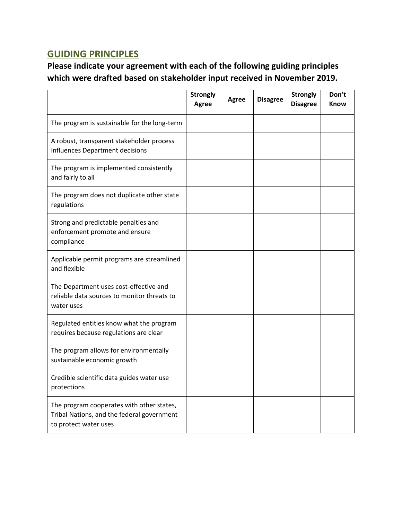# **GUIDING PRINCIPLES**

**Please indicate your agreement with each of the following guiding principles which were drafted based on stakeholder input received in November 2019.**

|                                                                                                                  | <b>Strongly</b><br>Agree | <b>Agree</b> | <b>Disagree</b> | <b>Strongly</b><br><b>Disagree</b> | Don't<br>Know |
|------------------------------------------------------------------------------------------------------------------|--------------------------|--------------|-----------------|------------------------------------|---------------|
| The program is sustainable for the long-term                                                                     |                          |              |                 |                                    |               |
| A robust, transparent stakeholder process<br>influences Department decisions                                     |                          |              |                 |                                    |               |
| The program is implemented consistently<br>and fairly to all                                                     |                          |              |                 |                                    |               |
| The program does not duplicate other state<br>regulations                                                        |                          |              |                 |                                    |               |
| Strong and predictable penalties and<br>enforcement promote and ensure<br>compliance                             |                          |              |                 |                                    |               |
| Applicable permit programs are streamlined<br>and flexible                                                       |                          |              |                 |                                    |               |
| The Department uses cost-effective and<br>reliable data sources to monitor threats to<br>water uses              |                          |              |                 |                                    |               |
| Regulated entities know what the program<br>requires because regulations are clear                               |                          |              |                 |                                    |               |
| The program allows for environmentally<br>sustainable economic growth                                            |                          |              |                 |                                    |               |
| Credible scientific data guides water use<br>protections                                                         |                          |              |                 |                                    |               |
| The program cooperates with other states,<br>Tribal Nations, and the federal government<br>to protect water uses |                          |              |                 |                                    |               |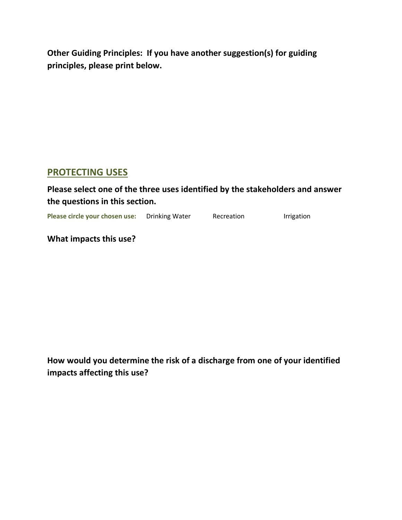**Other Guiding Principles: If you have another suggestion(s) for guiding principles, please print below.**

### **PROTECTING USES**

### **Please select one of the three uses identified by the stakeholders and answer the questions in this section.**

**Please circle your chosen use:** Drinking Water Recreation **Recreation** Irrigation

**What impacts this use?**

**How would you determine the risk of a discharge from one of your identified impacts affecting this use?**